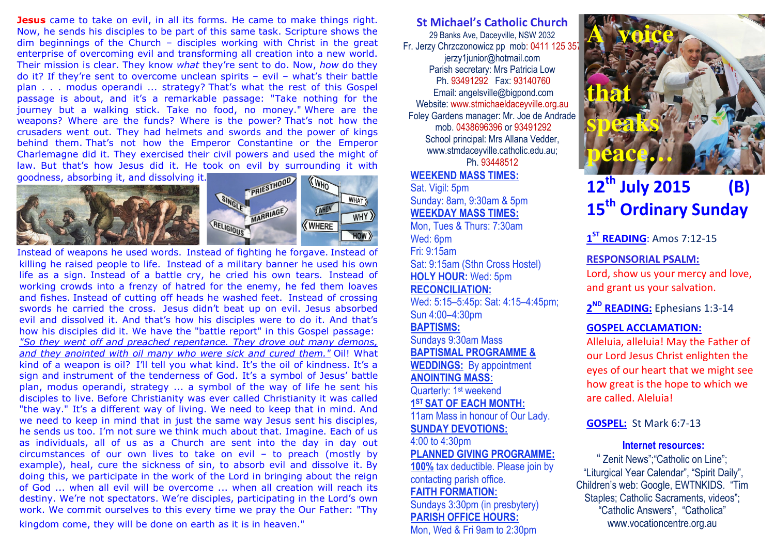**Jesus** came to take on evil, in all its forms. He came to make things right. Now, he sends his disciples to be part of this same task. Scripture shows the dim beginnings of the Church – disciples working with Christ in the great enterprise of overcoming evil and transforming all creation into a new world. Their mission is clear. They know what they're sent to do. Now, how do they do it? If they're sent to overcome unclean spirits – evil – what's their battle plan . . . modus operandi ... strategy? That's what the rest of this Gospel passage is about, and it's a remarkable passage: "Take nothing for the journey but a walking stick. Take no food, no money." Where are the weapons? Where are the funds? Where is the power? That's not how the crusaders went out. They had helmets and swords and the power of kings behind them. That's not how the Emperor Constantine or the Emperor Charlemagne did it. They exercised their civil powers and used the might of law. But that's how Jesus did it. He took on evil by surrounding it with



Instead of weapons he used words. Instead of fighting he forgave. Instead of killing he raised people to life. Instead of a military banner he used his own life as a sign. Instead of a battle cry, he cried his own tears. Instead of working crowds into a frenzy of hatred for the enemy, he fed them loaves and fishes. Instead of cutting off heads he washed feet. Instead of crossing swords he carried the cross. Jesus didn't beat up on evil. Jesus absorbed evil and dissolved it. And that's how his disciples were to do it. And that's how his disciples did it. We have the "battle report" in this Gospel passage: "So they went off and preached repentance. They drove out many demons, and they anointed with oil many who were sick and cured them." Oil! What kind of a weapon is oil? I'll tell you what kind. It's the oil of kindness. It's a sign and instrument of the tenderness of God. It's a symbol of Jesus' battle plan, modus operandi, strategy ... a symbol of the way of life he sent his disciples to live. Before Christianity was ever called Christianity it was called "the way." It's a different way of living. We need to keep that in mind. And we need to keep in mind that in just the same way Jesus sent his disciples, he sends us too. I'm not sure we think much about that. Imagine. Each of us as individuals, all of us as a Church are sent into the day in day out circumstances of our own lives to take on evil – to preach (mostly by example), heal, cure the sickness of sin, to absorb evil and dissolve it. By doing this, we participate in the work of the Lord in bringing about the reign of God ... when all evil will be overcome ... when all creation will reach its destiny. We're not spectators. We're disciples, participating in the Lord's own work. We commit ourselves to this every time we pray the Our Father: "Thy

kingdom come, they will be done on earth as it is in heaven."

St Michael's Catholic Church 29 Banks Ave, Daceyville, NSW 2032 Fr. Jerzy Chrzczonowicz pp mob: 0411 125 357jerzy1junior@hotmail.com Parish secretary: Mrs Patricia Low Ph. 93491292 Fax: 93140760 Email: angelsville@bigpond.com Website: www.stmichaeldaceyville.org.au Foley Gardens manager: Mr. Joe de Andrade mob. 0438696396 or 93491292 School principal: Mrs Allana Vedder, www.stmdaceyville.catholic.edu.au; Ph. 93448512 WEEKEND MASS TIMES:Sat. Vigil: 5pm Sunday: 8am, 9:30am & 5pm WEEKDAY MASS TIMES: Mon, Tues & Thurs: 7:30am Wed: 6pm Fri: 9:15am Sat: 9:15am (Sthn Cross Hostel) HOLY HOUR: Wed: 5pm RECONCILIATION: Wed: 5:15–5:45p: Sat: 4:15–4:45pm; Sun 4:00–4:30pm BAPTISMS: Sundays 9:30am Mass BAPTISMAL PROGRAMME & WEDDINGS: By appointment

# ANOINTING MASS:

Quarterly: 1<sup>st</sup> weekend 1<sup>ST</sup> SAT OF EACH MONTH:

 11am Mass in honour of Our Lady. SUNDAY DEVOTIONS:

4:00 to 4:30pm

#### PLANNED GIVING PROGRAMME:

100% tax deductible. Please join by contacting parish office.

### FAITH FORMATION:

 Sundays 3:30pm (in presbytery) PARISH OFFICE HOURS:

Mon, Wed & Fri 9am to 2:30pm



# $12^{th}$  July 2015 (B) 15<sup>th</sup> Ordinary Sunday

1<sup>ST</sup> READING: Amos 7:12-15

#### RESPONSORIAL PSALM:

Lord, show us your mercy and love, and grant us your salvation.

2<sup>ND</sup> READING: Ephesians 1:3-14

## GOSPEL ACCLAMATION:

Alleluia, alleluia! May the Father of our Lord Jesus Christ enlighten the eyes of our heart that we might see how great is the hope to which we are called. Aleluia!

# GOSPEL: St Mark 6:7-13

#### Internet resources:

" Zenit News";"Catholic on Line"; "Liturgical Year Calendar", "Spirit Daily", Children's web: Google, EWTNKIDS. "Tim Staples; Catholic Sacraments, videos"; "Catholic Answers", "Catholica" www.vocationcentre.org.au